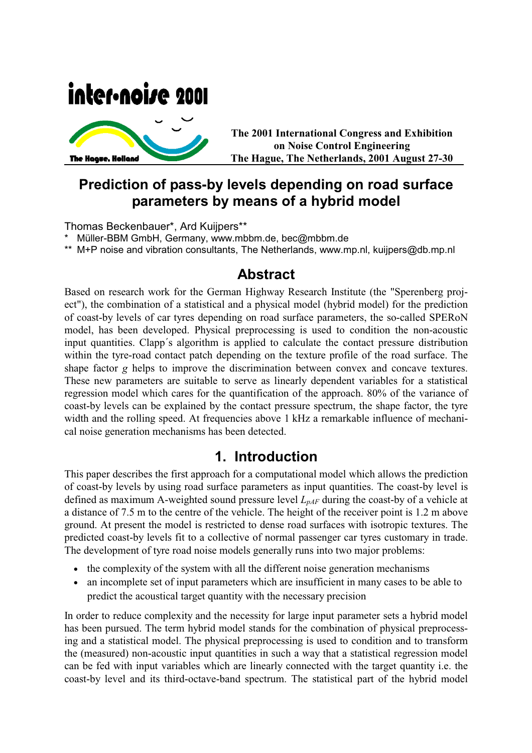# inter-noise 2001



**The 2001 International Congress and Exhibition on Noise Control Engineering The Hague, The Netherlands, 2001 August 27-30**

## **Prediction of pass-by levels depending on road surface parameters by means of a hybrid model**

Thomas Beckenbauer\*, Ard Kuijpers\*\*

Müller-BBM GmbH, Germany, www.mbbm.de, bec@mbbm.de

\*\* M+P noise and vibration consultants, The Netherlands, www.mp.nl, kuijpers@db.mp.nl

## **Abstract**

Based on research work for the German Highway Research Institute (the "Sperenberg project"), the combination of a statistical and a physical model (hybrid model) for the prediction of coast-by levels of car tyres depending on road surface parameters, the so-called SPERoN model, has been developed. Physical preprocessing is used to condition the non-acoustic input quantities. Clapp´s algorithm is applied to calculate the contact pressure distribution within the tyre-road contact patch depending on the texture profile of the road surface. The shape factor *g* helps to improve the discrimination between convex and concave textures. These new parameters are suitable to serve as linearly dependent variables for a statistical regression model which cares for the quantification of the approach. 80% of the variance of coast-by levels can be explained by the contact pressure spectrum, the shape factor, the tyre width and the rolling speed. At frequencies above 1 kHz a remarkable influence of mechanical noise generation mechanisms has been detected.

## **1. Introduction**

This paper describes the first approach for a computational model which allows the prediction of coast-by levels by using road surface parameters as input quantities. The coast-by level is defined as maximum A-weighted sound pressure level  $L_{pAF}$  during the coast-by of a vehicle at a distance of 7.5 m to the centre of the vehicle. The height of the receiver point is 1.2 m above ground. At present the model is restricted to dense road surfaces with isotropic textures. The predicted coast-by levels fit to a collective of normal passenger car tyres customary in trade. The development of tyre road noise models generally runs into two major problems:

- the complexity of the system with all the different noise generation mechanisms
- an incomplete set of input parameters which are insufficient in many cases to be able to predict the acoustical target quantity with the necessary precision

In order to reduce complexity and the necessity for large input parameter sets a hybrid model has been pursued. The term hybrid model stands for the combination of physical preprocessing and a statistical model. The physical preprocessing is used to condition and to transform the (measured) non-acoustic input quantities in such a way that a statistical regression model can be fed with input variables which are linearly connected with the target quantity i.e. the coast-by level and its third-octave-band spectrum. The statistical part of the hybrid model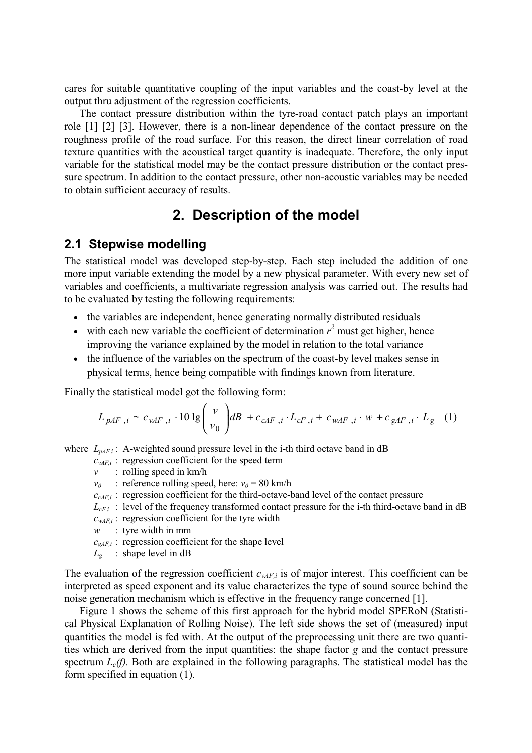cares for suitable quantitative coupling of the input variables and the coast-by level at the output thru adjustment of the regression coefficients.

The contact pressure distribution within the tyre-road contact patch plays an important role [1] [2] [3]. However, there is a non-linear dependence of the contact pressure on the roughness profile of the road surface. For this reason, the direct linear correlation of road texture quantities with the acoustical target quantity is inadequate. Therefore, the only input variable for the statistical model may be the contact pressure distribution or the contact pressure spectrum. In addition to the contact pressure, other non-acoustic variables may be needed to obtain sufficient accuracy of results.

## **2. Description of the model**

#### **2.1 Stepwise modelling**

The statistical model was developed step-by-step. Each step included the addition of one more input variable extending the model by a new physical parameter. With every new set of variables and coefficients, a multivariate regression analysis was carried out. The results had to be evaluated by testing the following requirements:

- the variables are independent, hence generating normally distributed residuals
- with each new variable the coefficient of determination  $r^2$  must get higher, hence improving the variance explained by the model in relation to the total variance
- the influence of the variables on the spectrum of the coast-by level makes sense in physical terms, hence being compatible with findings known from literature.

Finally the statistical model got the following form:

$$
L_{pAF,i} \sim c_{vAF,i} \cdot 10 \lg \left(\frac{v}{v_0}\right) dB + c_{cAF,i} \cdot L_{cF,i} + c_{wAF,i} \cdot w + c_{gAF,i} \cdot L_g \quad (1)
$$

where  $L_{nAFi}$ : A-weighted sound pressure level in the i-th third octave band in dB

 $c_{vAFi}$ : regression coefficient for the speed term

*v* : rolling speed in km/h

*v*<sub>0</sub> : reference rolling speed, here:  $v_0 = 80$  km/h

- *ccAF,i* : regression coefficient for the third-octave-band level of the contact pressure
- $L_{cF,i}$ : level of the frequency transformed contact pressure for the i-th third-octave band in dB
- $c_{wAF,i}$ : regression coefficient for the tyre width
- *w* : tyre width in mm
- $c_{gAFi}$ : regression coefficient for the shape level
- $L<sub>g</sub>$  : shape level in dB

The evaluation of the regression coefficient  $c_{vAF}$  is of major interest. This coefficient can be interpreted as speed exponent and its value characterizes the type of sound source behind the noise generation mechanism which is effective in the frequency range concerned [1].

Figure 1 shows the scheme of this first approach for the hybrid model SPERoN (Statistical Physical Explanation of Rolling Noise). The left side shows the set of (measured) input quantities the model is fed with. At the output of the preprocessing unit there are two quantities which are derived from the input quantities: the shape factor *g* and the contact pressure spectrum  $L_c(f)$ . Both are explained in the following paragraphs. The statistical model has the form specified in equation (1).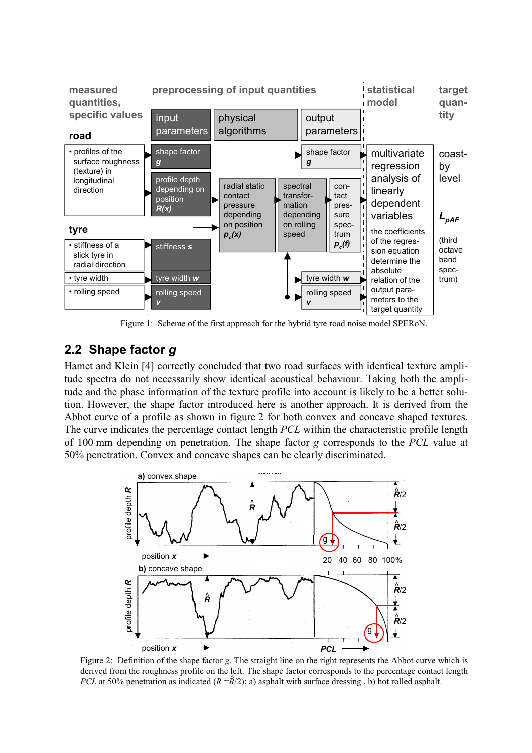

Figure 1: Scheme of the first approach for the hybrid tyre road noise model SPERoN.

## **2.2 Shape factor** *g*

Hamet and Klein [4] correctly concluded that two road surfaces with identical texture amplitude spectra do not necessarily show identical acoustical behaviour. Taking both the amplitude and the phase information of the texture profile into account is likely to be a better solution. However, the shape factor introduced here is another approach. It is derived from the Abbot curve of a profile as shown in figure 2 for both convex and concave shaped textures. The curve indicates the percentage contact length *PCL* within the characteristic profile length of 100 mm depending on penetration. The shape factor *g* corresponds to the *PCL* value at 50% penetration. Convex and concave shapes can be clearly discriminated.



Figure 2: Definition of the shape factor *g*. The straight line on the right represents the Abbot curve which is derived from the roughness profile on the left. The shape factor corresponds to the percentage contact length *PCL* at 50% penetration as indicated  $(R = \hat{R}/2)$ ; a) asphalt with surface dressing , b) hot rolled asphalt.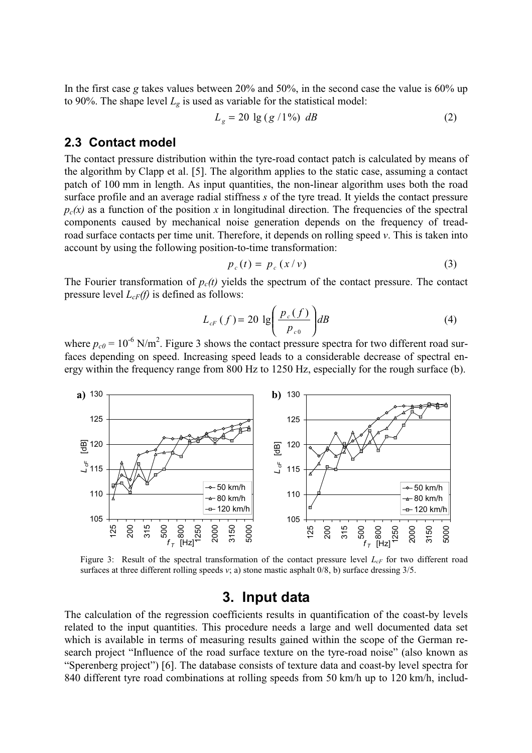In the first case *g* takes values between 20% and 50%, in the second case the value is 60% up to 90%. The shape level  $L_g$  is used as variable for the statistical model:

$$
L_g = 20 \lg (g/1\%) \, dB \tag{2}
$$

#### **2.3 Contact model**

The contact pressure distribution within the tyre-road contact patch is calculated by means of the algorithm by Clapp et al. [5]. The algorithm applies to the static case, assuming a contact patch of 100 mm in length. As input quantities, the non-linear algorithm uses both the road surface profile and an average radial stiffness *s* of the tyre tread. It yields the contact pressure  $p_c(x)$  as a function of the position x in longitudinal direction. The frequencies of the spectral components caused by mechanical noise generation depends on the frequency of treadroad surface contacts per time unit. Therefore, it depends on rolling speed *v*. This is taken into account by using the following position-to-time transformation:

$$
p_c(t) = p_c(x/v) \tag{3}
$$

The Fourier transformation of  $p_c(t)$  yields the spectrum of the contact pressure. The contact pressure level *LcF(f)* is defined as follows:

$$
L_{cF}(f) = 20 \lg \left( \frac{p_c(f)}{p_{c0}} \right) dB \tag{4}
$$

where  $p_{c0} = 10^{-6}$  N/m<sup>2</sup>. Figure 3 shows the contact pressure spectra for two different road surfaces depending on speed. Increasing speed leads to a considerable decrease of spectral energy within the frequency range from 800 Hz to 1250 Hz, especially for the rough surface (b).



Figure 3: Result of the spectral transformation of the contact pressure level  $L_{cF}$  for two different road surfaces at three different rolling speeds *v*; a) stone mastic asphalt 0/8, b) surface dressing 3/5.

#### **3. Input data**

The calculation of the regression coefficients results in quantification of the coast-by levels related to the input quantities. This procedure needs a large and well documented data set which is available in terms of measuring results gained within the scope of the German research project "Influence of the road surface texture on the tyre-road noise" (also known as "Sperenberg project") [6]. The database consists of texture data and coast-by level spectra for 840 different tyre road combinations at rolling speeds from 50 km/h up to 120 km/h, includ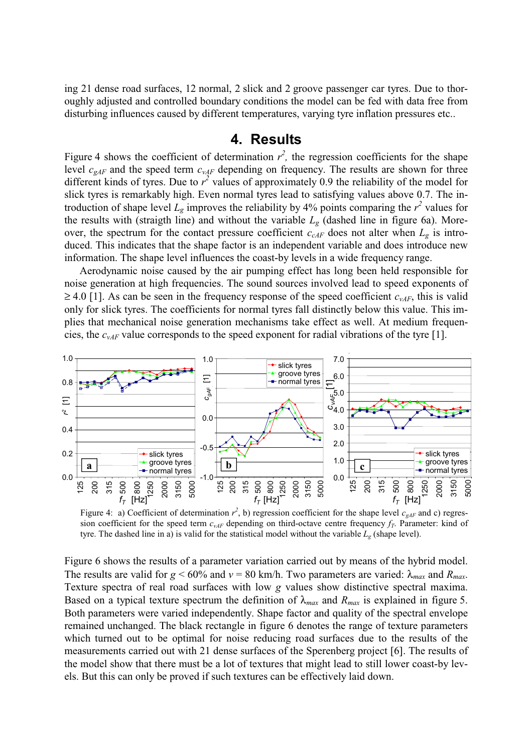ing 21 dense road surfaces, 12 normal, 2 slick and 2 groove passenger car tyres. Due to thoroughly adjusted and controlled boundary conditions the model can be fed with data free from disturbing influences caused by different temperatures, varying tyre inflation pressures etc..

#### **4. Results**

Figure 4 shows the coefficient of determination  $r^2$ , the regression coefficients for the shape level  $c_{gAF}$  and the speed term  $c_{vAF}$  depending on frequency. The results are shown for three different kinds of tyres. Due to  $r^2$  values of approximately 0.9 the reliability of the model for slick tyres is remarkably high. Even normal tyres lead to satisfying values above 0.7. The introduction of shape level  $L_g$  improves the reliability by 4% points comparing the  $r^2$  values for the results with (straigth line) and without the variable  $L_g$  (dashed line in figure 6a). Moreover, the spectrum for the contact pressure coefficient  $c_{cAF}$  does not alter when  $L_g$  is introduced. This indicates that the shape factor is an independent variable and does introduce new information. The shape level influences the coast-by levels in a wide frequency range.

Aerodynamic noise caused by the air pumping effect has long been held responsible for noise generation at high frequencies. The sound sources involved lead to speed exponents of  $\geq$  4.0 [1]. As can be seen in the frequency response of the speed coefficient  $c_{vAF}$ , this is valid only for slick tyres. The coefficients for normal tyres fall distinctly below this value. This implies that mechanical noise generation mechanisms take effect as well. At medium frequencies, the *cvAF* value corresponds to the speed exponent for radial vibrations of the tyre [1].



Figure 4: a) Coefficient of determination  $r^2$ , b) regression coefficient for the shape level  $c_{gAF}$  and c) regression coefficient for the speed term  $c_{v\text{A}F}$  depending on third-octave centre frequency  $f_T$ . Parameter: kind of tyre. The dashed line in a) is valid for the statistical model without the variable  $L_g$  (shape level).

Figure 6 shows the results of a parameter variation carried out by means of the hybrid model. The results are valid for  $g \le 60\%$  and  $v = 80$  km/h. Two parameters are varied:  $\lambda_{max}$  and  $R_{max}$ . Texture spectra of real road surfaces with low *g* values show distinctive spectral maxima. Based on a typical texture spectrum the definition of  $\lambda_{max}$  and  $R_{max}$  is explained in figure 5. Both parameters were varied independently. Shape factor and quality of the spectral envelope remained unchanged. The black rectangle in figure 6 denotes the range of texture parameters which turned out to be optimal for noise reducing road surfaces due to the results of the measurements carried out with 21 dense surfaces of the Sperenberg project [6]. The results of the model show that there must be a lot of textures that might lead to still lower coast-by levels. But this can only be proved if such textures can be effectively laid down.